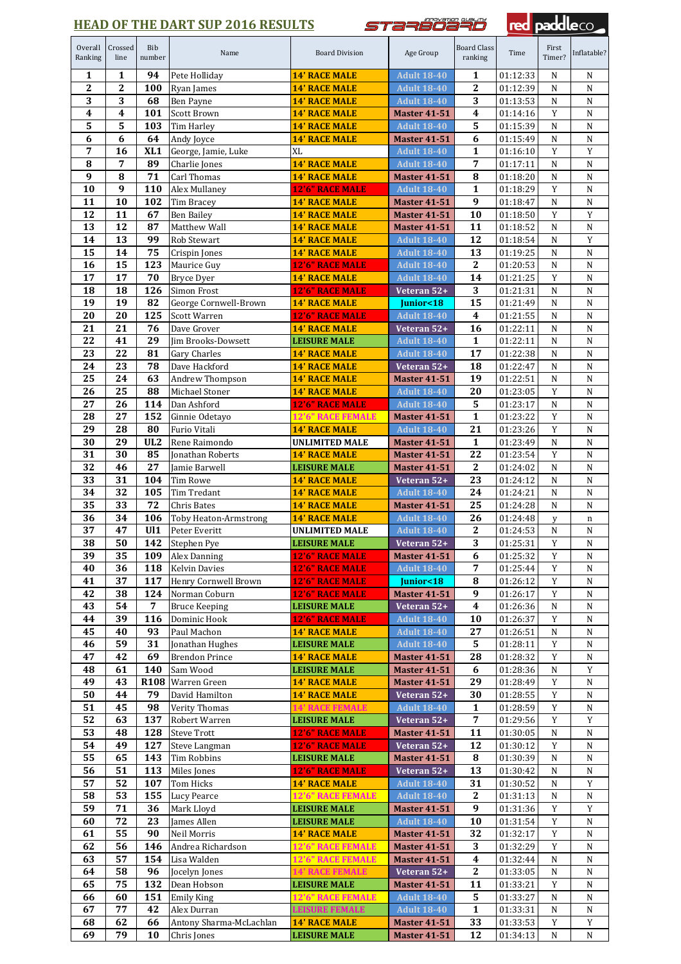## **HEAD OF THE DART SUP 2016 RESULTS**

*STazööä#ö* 

red paddleco

| Overall<br>Ranking      | Crossed<br>line         | Bib<br>number           | Name                         | <b>Board Division</b>                            | Age Group                                 | <b>Board Class</b><br>ranking | Time                 | First<br>Timer?         | Inflatable?              |
|-------------------------|-------------------------|-------------------------|------------------------------|--------------------------------------------------|-------------------------------------------|-------------------------------|----------------------|-------------------------|--------------------------|
| 1                       | 1                       | 94                      | Pete Holliday                | <b>14' RACE MALE</b>                             | <b>Adult 18-40</b>                        | 1                             | 01:12:33             | N                       | N                        |
| $\overline{2}$          | $\overline{2}$          | 100                     | Ryan James                   | <b>14' RACE MALE</b>                             | <b>Adult 18-40</b>                        | $\mathbf{2}$                  | 01:12:39             | N                       | N                        |
| 3                       | 3                       | 68                      | Ben Payne                    | <b>14' RACE MALE</b>                             | <b>Adult 18-40</b>                        | 3                             | 01:13:53             | N                       | N                        |
| $\overline{\mathbf{4}}$ | $\overline{\mathbf{4}}$ | 101                     | Scott Brown                  | <b>14' RACE MALE</b>                             | <b>Master 41-51</b>                       | $\boldsymbol{4}$              | 01:14:16             | Y                       | ${\bf N}$                |
| 5                       | 5                       | 103                     | <b>Tim Harley</b>            | <b>14' RACE MALE</b>                             | <b>Adult 18-40</b>                        | 5                             | 01:15:39             | N                       | ${\bf N}$                |
| 6                       | 6                       | 64                      | Andy Joyce                   | <b>14' RACE MALE</b>                             | <b>Master 41-51</b>                       | 6                             | 01:15:49             | N                       | N                        |
| 7                       | 16                      | XL <sub>1</sub>         | George, Jamie, Luke          | XL                                               | <b>Adult 18-40</b>                        | $\mathbf{1}$                  | 01:16:10             | Y                       | Y                        |
| 8                       | 7                       | 89                      | Charlie Jones                | <b>14' RACE MALE</b>                             | <b>Adult 18-40</b>                        | 7                             | 01:17:11             | N                       | N                        |
| 9                       | 8                       | 71                      | Carl Thomas                  | <b>14' RACE MALE</b>                             | <b>Master 41-51</b>                       | 8                             | 01:18:20             | N                       | N                        |
| 10                      | 9                       | 110                     | Alex Mullaney                | <b>12'6" RACE MALE</b>                           | <b>Adult 18-40</b>                        | $\mathbf{1}$                  | 01:18:29             | Y                       | ${\bf N}$                |
| 11                      | 10                      | 102                     | Tim Bracey                   | <b>14' RACE MALE</b>                             | <b>Master 41-51</b>                       | 9                             | 01:18:47             | N                       | ${\bf N}$                |
| 12                      | 11                      | 67                      | <b>Ben Bailey</b>            | <b>14' RACE MALE</b>                             | <b>Master 41-51</b>                       | 10                            | 01:18:50             | Y                       | Y                        |
| 13                      | 12                      | 87                      | Matthew Wall                 | <b>14' RACE MALE</b>                             | <b>Master 41-51</b>                       | 11                            | 01:18:52             | N                       | ${\bf N}$                |
| 14<br>15                | 13<br>14                | 99<br>$\overline{75}$   | Rob Stewart                  | <b>14' RACE MALE</b>                             | <b>Adult 18-40</b>                        | 12<br>13                      | 01:18:54             | N<br>N                  | $\mathbf Y$<br>${\bf N}$ |
| 16                      | 15                      | 123                     | Crispin Jones<br>Maurice Guy | <b>14' RACE MALE</b><br>12'6" RACE MALE          | <b>Adult 18-40</b><br><b>Adult 18-40</b>  | $\boldsymbol{2}$              | 01:19:25<br>01:20:53 | N                       | ${\bf N}$                |
| 17                      | 17                      | 70                      | Bryce Dyer                   | <b>14' RACE MALE</b>                             | <b>Adult 18-40</b>                        | 14                            | 01:21:25             | Y                       | N                        |
| 18                      | 18                      | 126                     | Simon Frost                  | <b>12'6" RACE MALE</b>                           | Veteran 52+                               | $\mathbf 3$                   | 01:21:31             | N                       | ${\bf N}$                |
| 19                      | 19                      | 82                      | George Cornwell-Brown        | <b>14' RACE MALE</b>                             | Junior<18                                 | 15                            | 01:21:49             | N                       | N                        |
| 20                      | 20                      | 125                     | Scott Warren                 | <b>12'6" RACE MALE</b>                           | <b>Adult 18-40</b>                        | $\boldsymbol{4}$              | 01:21:55             | N                       | N                        |
| 21                      | 21                      | 76                      | Dave Grover                  | <b>14' RACE MALE</b>                             | Veteran 52+                               | 16                            | 01:22:11             | N                       | $\overline{N}$           |
| $\overline{22}$         | 41                      | $\overline{29}$         | Jim Brooks-Dowsett           | <b>LEISURE MALE</b>                              | <b>Adult 18-40</b>                        | $\mathbf{1}$                  | 01:22:11             | N                       | ${\bf N}$                |
| 23                      | 22                      | 81                      | Gary Charles                 | <b>14' RACE MALE</b>                             | <b>Adult 18-40</b>                        | 17                            | 01:22:38             | N                       | N                        |
| 24                      | 23                      | 78                      | Dave Hackford                | <b>14' RACE MALE</b>                             | Veteran 52+                               | 18                            | 01:22:47             | N                       | ${\bf N}$                |
| 25                      | 24                      | 63                      | Andrew Thompson              | <b>14' RACE MALE</b>                             | <b>Master 41-51</b>                       | 19                            | 01:22:51             | N                       | N                        |
| 26                      | 25                      | 88                      | Michael Stoner               | <b>14' RACE MALE</b>                             | <b>Adult 18-40</b>                        | 20                            | 01:23:05             | Y                       | ${\bf N}$                |
| 27                      | 26                      | 114                     | Dan Ashford                  | 12'6" RACE MALE                                  | <b>Adult 18-40</b>                        | 5                             | 01:23:17             | N                       | N                        |
| 28                      | 27                      | 152                     | Ginnie Odetayo               | <b>12'6" RACE FEMALE</b>                         | <b>Master 41-51</b>                       | $\mathbf{1}$                  | 01:23:22             | Y                       | ${\bf N}$                |
| 29                      | 28                      | 80                      | Furio Vitali                 | <b>14' RACE MALE</b>                             | <b>Adult 18-40</b>                        | 21                            | 01:23:26             | Y                       | ${\bf N}$                |
| 30                      | 29                      | UL <sub>2</sub>         | Rene Raimondo                | <b>UNLIMITED MALE</b>                            | <b>Master 41-51</b>                       | $\mathbf{1}$                  | 01:23:49             | N                       | N                        |
| 31                      | 30                      | 85                      | Jonathan Roberts             | <b>14' RACE MALE</b>                             | <b>Master 41-51</b>                       | 22                            | 01:23:54             | Y                       | N                        |
| 32                      | 46                      | 27                      | Jamie Barwell                | <b>LEISURE MALE</b>                              | <b>Master 41-51</b>                       | $\mathbf{2}$                  | 01:24:02             | N                       | N                        |
| 33                      | 31                      | 104                     | Tim Rowe                     | <b>14' RACE MALE</b>                             | Veteran 52+                               | 23                            | 01:24:12             | N                       | ${\bf N}$                |
| 34                      | 32                      | 105                     | Tim Tredant                  | <b>14' RACE MALE</b>                             | <b>Adult 18-40</b>                        | 24                            | 01:24:21             | N                       | N                        |
| 35                      | 33                      | 72                      | Chris Bates                  | <b>14' RACE MALE</b>                             | <b>Master 41-51</b>                       | 25                            | 01:24:28             | N                       | ${\bf N}$                |
| 36                      | 34<br>47                | 106<br>U11              | Toby Heaton-Armstrong        | <b>14' RACE MALE</b>                             | <b>Adult 18-40</b>                        | 26                            | 01:24:48             | у                       | n                        |
| 37<br>38                | 50                      | 142                     | Peter Everitt<br>Stephen Pye | <b>UNLIMITED MALE</b><br><b>LEISURE MALE</b>     | <b>Adult 18-40</b><br>Veteran $52+$       | $\boldsymbol{2}$<br>3         | 01:24:53<br>01:25:31 | N<br>Y                  | N<br>N                   |
| 39                      | 35                      |                         | 109 Alex Danning             | <b>12'6" RACE MALE</b>                           | <b>Master 41-51</b>                       | $\overline{6}$                | 01:25:32             | $\overline{\mathbf{Y}}$ | ${\bf N}$                |
| 40                      | 36                      | 118                     | <b>Kelvin Davies</b>         | <b>12'6" RACE MALE</b>                           | <b>Adult 18-40</b>                        | $\overline{7}$                | 01:25:44             | Y                       | N                        |
| 41                      | 37                      | 117                     | Henry Cornwell Brown         | <b>12'6" RACE MALE</b>                           | Junior<18                                 | 8                             | 01:26:12             | Y                       | N                        |
| 42                      | 38                      | 124                     | Norman Coburn                | <b>12'6" RACE MALE</b>                           | <b>Master 41-51</b>                       | 9                             | 01:26:17             | Y                       | ${\bf N}$                |
| 43                      | 54                      | 7                       | <b>Bruce Keeping</b>         | <b>LEISURE MALE</b>                              | Veteran 52+                               | $\boldsymbol{4}$              | 01:26:36             | N                       | N                        |
| 44                      | 39                      | 116                     | Dominic Hook                 | <b>12'6" RACE MALE</b>                           | <b>Adult 18-40</b>                        | 10                            | 01:26:37             | Y                       | ${\bf N}$                |
| 45                      | 40                      | 93                      | Paul Machon                  | <b>14' RACE MALE</b>                             | <b>Adult 18-40</b>                        | 27                            | 01:26:51             | N                       | N                        |
| 46                      | 59                      | 31                      | Jonathan Hughes              | <b>LEISURE MALE</b>                              | <b>Adult 18-40</b>                        | 5                             | 01:28:11             | Y                       | N                        |
| 47                      | 42                      | 69                      | <b>Brendon Prince</b>        | <b>14' RACE MALE</b>                             | <b>Master 41-51</b>                       | 28                            | 01:28:32             | Y                       | ${\bf N}$                |
| 48                      | 61                      | 140                     | Sam Wood                     | <b>LEISURE MALE</b>                              | <b>Master 41-51</b>                       | 6                             | 01:28:36             | N                       | Y                        |
| 49                      | 43                      | R <sub>108</sub>        | Warren Green                 | <b>14' RACE MALE</b>                             | <b>Master 41-51</b>                       | 29                            | 01:28:49             | Y                       | ${\bf N}$                |
| 50                      | 44                      | 79                      | David Hamilton               | <b>14' RACE MALE</b>                             | Veteran 52+                               | 30                            | 01:28:55             | Y                       | N                        |
| $\overline{51}$         | 45                      | 98                      | Verity Thomas                | 14' RACE FI<br>MALE                              | <b>Adult 18-40</b>                        | $\mathbf{1}$                  | 01:28:59             | Y                       | ${\bf N}$                |
| 52                      | 63                      | 137                     | Robert Warren                | <b>LEISURE MALE</b>                              | Veteran 52+                               | $\overline{7}$                | 01:29:56             | Y                       | Y                        |
| 53                      | 48                      | 128                     | <b>Steve Trott</b>           | <b>12'6" RACE MALE</b>                           | <b>Master 41-51</b>                       | 11                            | 01:30:05             | N                       | N                        |
| 54                      | 49                      | 127                     | Steve Langman                | 12'6" RACE MALE                                  | Veteran 52+                               | 12                            | 01:30:12             | Y                       | ${\bf N}$                |
| 55                      | 65                      | 143                     | Tim Robbins                  | <b>LEISURE MALE</b>                              | <b>Master 41-51</b>                       | 8                             | 01:30:39             | N                       | N                        |
| 56                      | 51                      | 113                     | Miles Jones                  | <b>12'6" RACE MALE</b>                           | Veteran 52+                               | 13                            | 01:30:42             | N                       | N                        |
| 57<br>58                | 52<br>53                | 107<br>$15\overline{5}$ | Tom Hicks<br>Lucy Pearce     | <b>14' RACE MALE</b><br><b>12'6" RACE FEMALE</b> | <b>Adult 18-40</b>                        | 31<br>$\bf 2$                 | 01:30:52<br>01:31:13 | N<br>N                  | Y<br>${\bf N}$           |
| 59                      | 71                      | 36                      | Mark Lloyd                   | <b>LEISURE MALE</b>                              | <b>Adult 18-40</b><br><b>Master 41-51</b> | 9                             | 01:31:36             | Y                       | Y                        |
| 60                      | 72                      | 23                      | James Allen                  | <b>LEISURE MALE</b>                              | <b>Adult 18-40</b>                        | 10                            | 01:31:54             | $\mathbf Y$             | ${\bf N}$                |
| 61                      | 55                      | 90                      | Neil Morris                  | <b>14' RACE MALE</b>                             | <b>Master 41-51</b>                       | 32                            | 01:32:17             | $\mathbf Y$             | ${\bf N}$                |
| 62                      | 56                      | 146                     | Andrea Richardson            | <b>12'6" RACE FEMALE</b>                         | <b>Master 41-51</b>                       | 3                             | 01:32:29             | Y                       | N                        |
| 63                      | 57                      | 154                     | Lisa Walden                  | <b>12'6" RACE FEMALE</b>                         | <b>Master 41-51</b>                       | $\boldsymbol{4}$              | 01:32:44             | N                       | N                        |
| 64                      | 58                      | 96                      | Jocelyn Jones                | <b>14' RACE FEMALE</b>                           | Veteran 52+                               | $\bf 2$                       | 01:33:05             | N                       | N                        |
| 65                      | 75                      | 132                     | Dean Hobson                  | <b>LEISURE MALE</b>                              | <b>Master 41-51</b>                       | 11                            | 01:33:21             | Y                       | N                        |
| 66                      | 60                      | 151                     | <b>Emily King</b>            | <b>12'6" RACE FEMALE</b>                         | <b>Adult 18-40</b>                        | ${\bf 5}$                     | 01:33:27             | N                       | N                        |
| 67                      | 77                      | 42                      | Alex Durran                  | <b>LEISURE FEMALE</b>                            | <b>Adult 18-40</b>                        | $\mathbf{1}$                  | 01:33:31             | N                       | ${\bf N}$                |
| 68                      | 62                      | 66                      | Antony Sharma-McLachlan      | <b>14' RACE MALE</b>                             | <b>Master 41-51</b>                       | 33                            | 01:33:53             | Y                       | Y                        |
| 69                      | 79                      | 10                      | Chris Jones                  | <b>LEISURE MALE</b>                              | <b>Master 41-51</b>                       | 12                            | 01:34:13             | N                       | ${\bf N}$                |